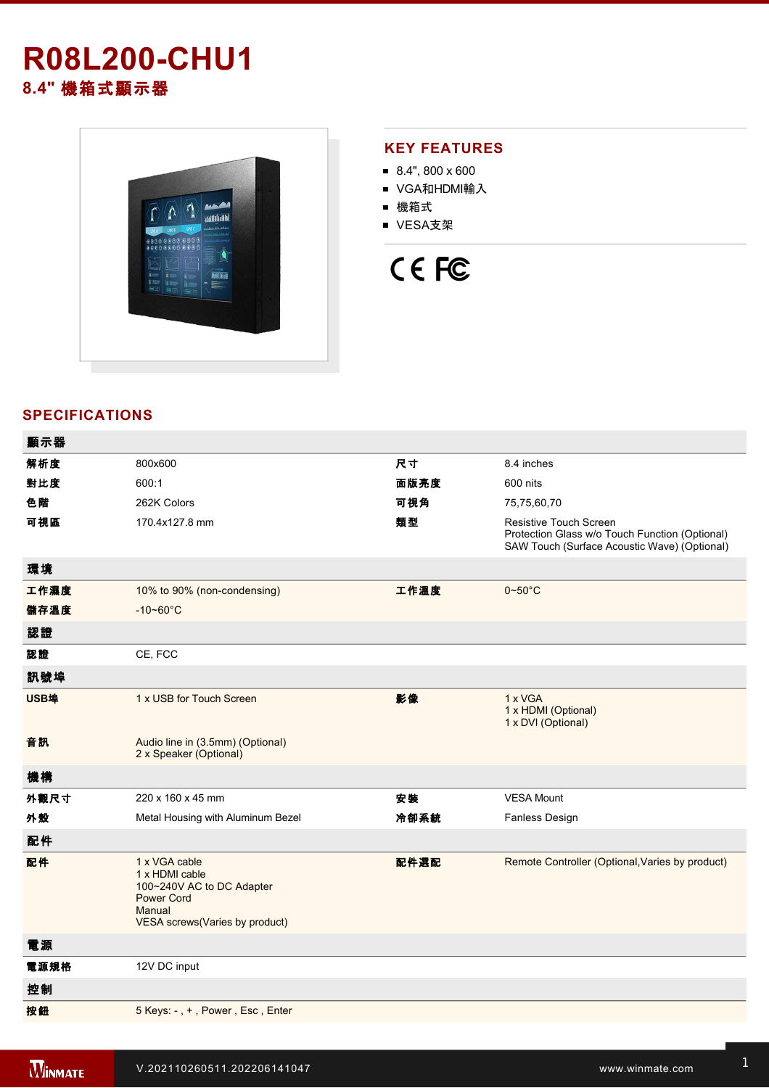# **R08L200-CHU1 8.4"** 機箱式顯示器



### **KEY FEATURES**

- $8.4$ ", 800 x 600
- VGA和HDMI輸入
- 機箱式
- VESA支架

# CE FC

## **SPECIFICATIONS**

| 顯示器  |                                                                                                                               |      |                                                                                                                                 |
|------|-------------------------------------------------------------------------------------------------------------------------------|------|---------------------------------------------------------------------------------------------------------------------------------|
| 解析度  | 800x600                                                                                                                       | 尺寸   | 8.4 inches                                                                                                                      |
| 對比度  | 600:1                                                                                                                         | 面版亮度 | 600 nits                                                                                                                        |
| 色階   | 262K Colors                                                                                                                   | 可視角  | 75,75,60,70                                                                                                                     |
| 可視區  | 170.4x127.8 mm                                                                                                                | 類型   | <b>Resistive Touch Screen</b><br>Protection Glass w/o Touch Function (Optional)<br>SAW Touch (Surface Acoustic Wave) (Optional) |
| 環境   |                                                                                                                               |      |                                                                                                                                 |
| 工作濕度 | 10% to 90% (non-condensing)                                                                                                   | 工作溫度 | $0 - 50$ °C                                                                                                                     |
| 儲存溫度 | $-10 - 60^{\circ}C$                                                                                                           |      |                                                                                                                                 |
| 認證   |                                                                                                                               |      |                                                                                                                                 |
| 認證   | CE, FCC                                                                                                                       |      |                                                                                                                                 |
| 訊號埠  |                                                                                                                               |      |                                                                                                                                 |
| USB埠 | 1 x USB for Touch Screen                                                                                                      | 影像   | 1 x VGA<br>1 x HDMI (Optional)<br>1 x DVI (Optional)                                                                            |
| 音訊   | Audio line in (3.5mm) (Optional)<br>2 x Speaker (Optional)                                                                    |      |                                                                                                                                 |
| 機構   |                                                                                                                               |      |                                                                                                                                 |
| 外觀尺寸 | 220 x 160 x 45 mm                                                                                                             | 安裝   | <b>VESA Mount</b>                                                                                                               |
| 外殼   | Metal Housing with Aluminum Bezel                                                                                             | 冷卻系統 | Fanless Design                                                                                                                  |
| 配件   |                                                                                                                               |      |                                                                                                                                 |
| 配件   | 1 x VGA cable<br>1 x HDMI cable<br>100~240V AC to DC Adapter<br><b>Power Cord</b><br>Manual<br>VESA screws(Varies by product) | 配件選配 | Remote Controller (Optional, Varies by product)                                                                                 |
| 電源   |                                                                                                                               |      |                                                                                                                                 |
| 電源規格 | 12V DC input                                                                                                                  |      |                                                                                                                                 |
| 控制   |                                                                                                                               |      |                                                                                                                                 |
| 按鈕   | 5 Keys: -, +, Power, Esc, Enter                                                                                               |      |                                                                                                                                 |